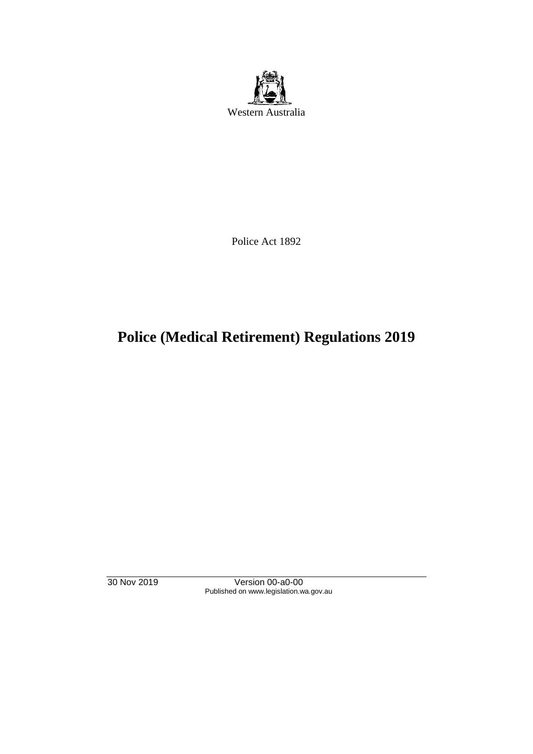

Police Act 1892

# **Police (Medical Retirement) Regulations 2019**

30 Nov 2019 Version 00-a0-00 Published on www.legislation.wa.gov.au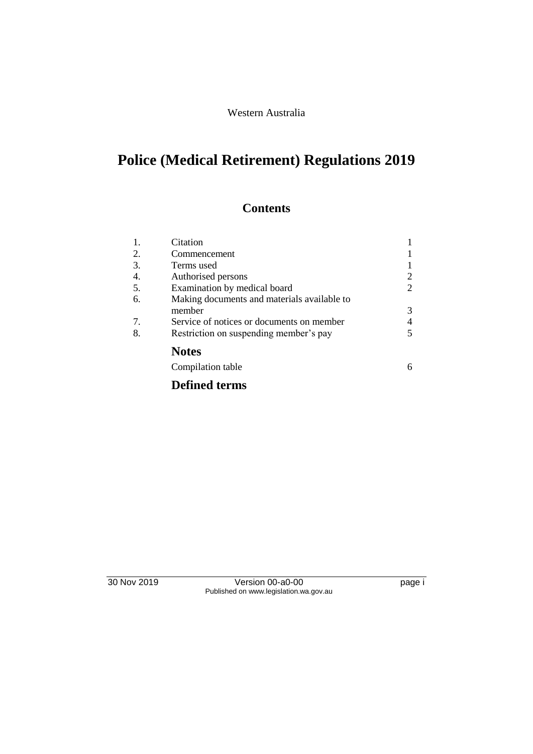#### Western Australia

# **Police (Medical Retirement) Regulations 2019**

## **Contents**

| 1. | Citation                                    |   |
|----|---------------------------------------------|---|
| 2. | Commencement                                |   |
| 3. | Terms used                                  |   |
| 4. | Authorised persons                          | 2 |
| 5. | Examination by medical board                | 2 |
| 6. | Making documents and materials available to |   |
|    | member                                      | 3 |
| 7. | Service of notices or documents on member   | 4 |
| 8. | Restriction on suspending member's pay      | 5 |
|    | <b>Notes</b>                                |   |
|    | Compilation table                           | 6 |
|    | <b>Defined terms</b>                        |   |

30 Nov 2019 Version 00-a0-00 page i Published on www.legislation.wa.gov.au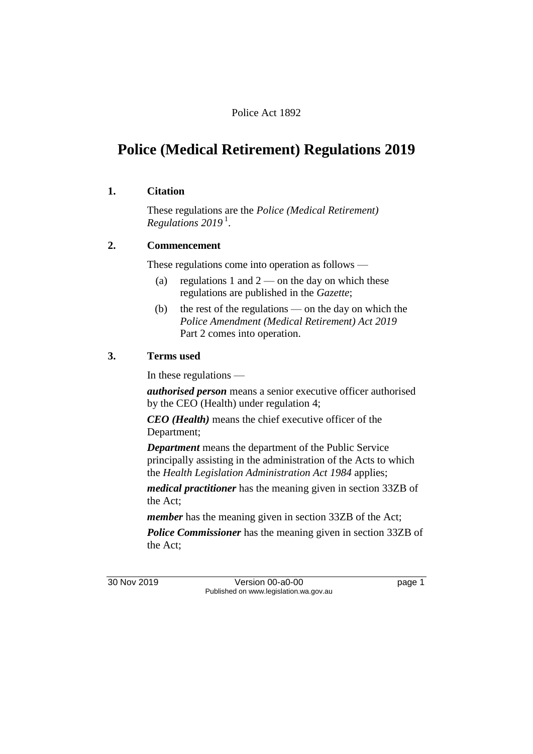#### Police Act 1892

## **Police (Medical Retirement) Regulations 2019**

#### **1. Citation**

These regulations are the *Police (Medical Retirement) Regulations 2019* <sup>1</sup> .

#### **2. Commencement**

These regulations come into operation as follows —

- (a) regulations 1 and  $2$  on the day on which these regulations are published in the *Gazette*;
- (b) the rest of the regulations on the day on which the *Police Amendment (Medical Retirement) Act 2019* Part 2 comes into operation.

#### **3. Terms used**

In these regulations —

*authorised person* means a senior executive officer authorised by the CEO (Health) under regulation 4;

*CEO (Health)* means the chief executive officer of the Department;

*Department* means the department of the Public Service principally assisting in the administration of the Acts to which the *Health Legislation Administration Act 1984* applies;

*medical practitioner* has the meaning given in section 33ZB of the Act;

*member* has the meaning given in section 33ZB of the Act;

*Police Commissioner* has the meaning given in section 33ZB of the Act;

30 Nov 2019 Version 00-a0-00 page 1 Published on www.legislation.wa.gov.au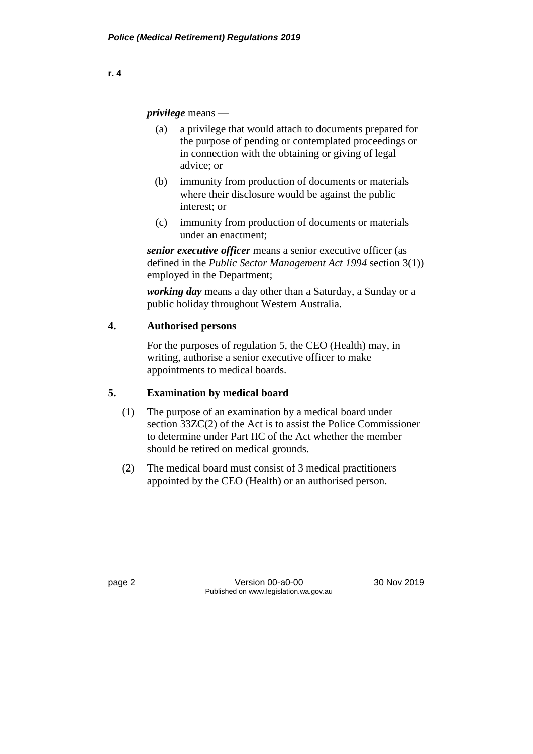*privilege* means —

- (a) a privilege that would attach to documents prepared for the purpose of pending or contemplated proceedings or in connection with the obtaining or giving of legal advice; or
- (b) immunity from production of documents or materials where their disclosure would be against the public interest; or
- (c) immunity from production of documents or materials under an enactment;

*senior executive officer* means a senior executive officer (as defined in the *Public Sector Management Act 1994* section 3(1)) employed in the Department;

*working day* means a day other than a Saturday, a Sunday or a public holiday throughout Western Australia.

### **4. Authorised persons**

For the purposes of regulation 5, the CEO (Health) may, in writing, authorise a senior executive officer to make appointments to medical boards.

### **5. Examination by medical board**

- (1) The purpose of an examination by a medical board under section 33ZC(2) of the Act is to assist the Police Commissioner to determine under Part IIC of the Act whether the member should be retired on medical grounds.
- (2) The medical board must consist of 3 medical practitioners appointed by the CEO (Health) or an authorised person.

page 2 Version 00-a0-00 30 Nov 2019 Published on www.legislation.wa.gov.au

**r. 4**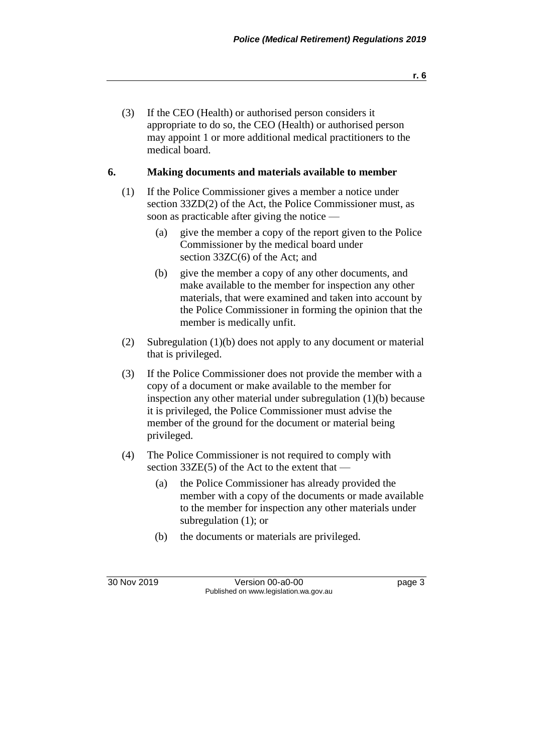(3) If the CEO (Health) or authorised person considers it appropriate to do so, the CEO (Health) or authorised person may appoint 1 or more additional medical practitioners to the medical board.

#### **6. Making documents and materials available to member**

- (1) If the Police Commissioner gives a member a notice under section 33ZD(2) of the Act, the Police Commissioner must, as soon as practicable after giving the notice —
	- (a) give the member a copy of the report given to the Police Commissioner by the medical board under section 33ZC(6) of the Act; and
	- (b) give the member a copy of any other documents, and make available to the member for inspection any other materials, that were examined and taken into account by the Police Commissioner in forming the opinion that the member is medically unfit.
- (2) Subregulation (1)(b) does not apply to any document or material that is privileged.
- (3) If the Police Commissioner does not provide the member with a copy of a document or make available to the member for inspection any other material under subregulation (1)(b) because it is privileged, the Police Commissioner must advise the member of the ground for the document or material being privileged.
- (4) The Police Commissioner is not required to comply with section 33ZE(5) of the Act to the extent that —
	- (a) the Police Commissioner has already provided the member with a copy of the documents or made available to the member for inspection any other materials under subregulation (1); or
	- (b) the documents or materials are privileged.

30 Nov 2019 Version 00-a0-00 page 3 Published on www.legislation.wa.gov.au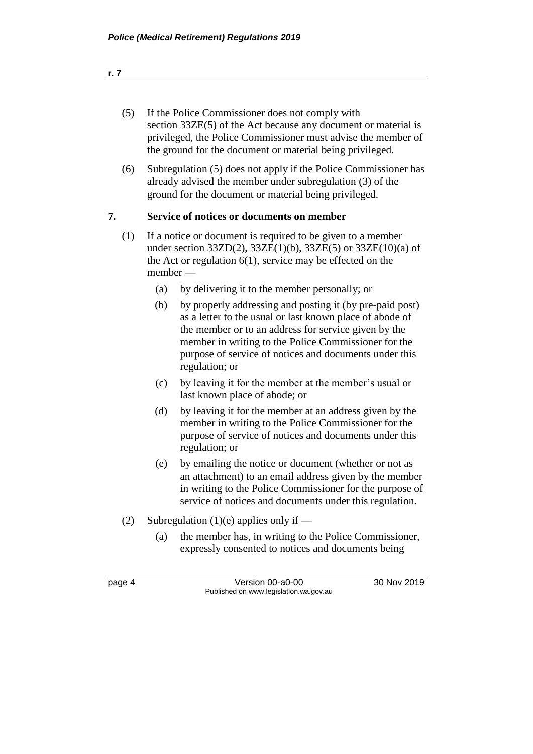- (5) If the Police Commissioner does not comply with section 33ZE(5) of the Act because any document or material is privileged, the Police Commissioner must advise the member of the ground for the document or material being privileged.
- (6) Subregulation (5) does not apply if the Police Commissioner has already advised the member under subregulation (3) of the ground for the document or material being privileged.

### **7. Service of notices or documents on member**

- (1) If a notice or document is required to be given to a member under section  $33ZD(2)$ ,  $33ZE(1)(b)$ ,  $33ZE(5)$  or  $33ZE(10)(a)$  of the Act or regulation 6(1), service may be effected on the member —
	- (a) by delivering it to the member personally; or
	- (b) by properly addressing and posting it (by pre-paid post) as a letter to the usual or last known place of abode of the member or to an address for service given by the member in writing to the Police Commissioner for the purpose of service of notices and documents under this regulation; or
	- (c) by leaving it for the member at the member's usual or last known place of abode; or
	- (d) by leaving it for the member at an address given by the member in writing to the Police Commissioner for the purpose of service of notices and documents under this regulation; or
	- (e) by emailing the notice or document (whether or not as an attachment) to an email address given by the member in writing to the Police Commissioner for the purpose of service of notices and documents under this regulation.
- (2) Subregulation (1)(e) applies only if
	- (a) the member has, in writing to the Police Commissioner, expressly consented to notices and documents being

|--|--|

Version 00-a0-00 30 Nov 2019 Published on www.legislation.wa.gov.au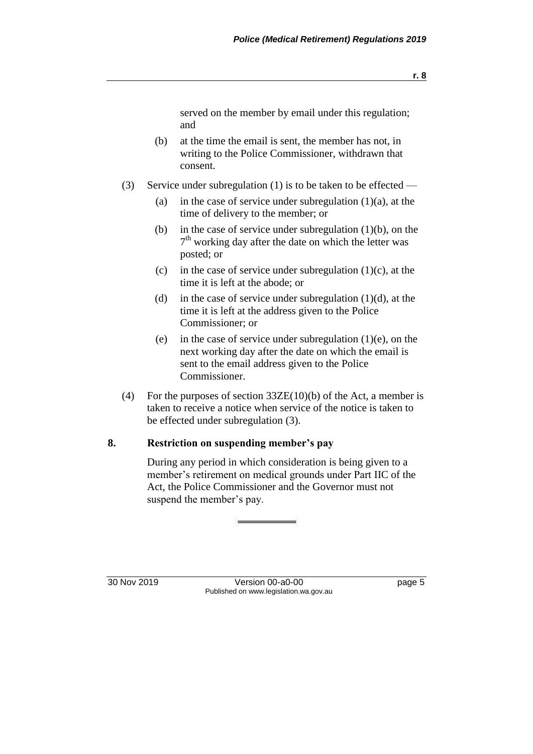served on the member by email under this regulation; and

- (b) at the time the email is sent, the member has not, in writing to the Police Commissioner, withdrawn that consent.
- (3) Service under subregulation (1) is to be taken to be effected
	- (a) in the case of service under subregulation  $(1)(a)$ , at the time of delivery to the member; or
	- (b) in the case of service under subregulation (1)(b), on the 7<sup>th</sup> working day after the date on which the letter was posted; or
	- (c) in the case of service under subregulation  $(1)(c)$ , at the time it is left at the abode; or
	- (d) in the case of service under subregulation  $(1)(d)$ , at the time it is left at the address given to the Police Commissioner; or
	- (e) in the case of service under subregulation (1)(e), on the next working day after the date on which the email is sent to the email address given to the Police Commissioner.
- (4) For the purposes of section  $33\text{ZE}(10)(b)$  of the Act, a member is taken to receive a notice when service of the notice is taken to be effected under subregulation (3).

#### **8. Restriction on suspending member's pay**

During any period in which consideration is being given to a member's retirement on medical grounds under Part IIC of the Act, the Police Commissioner and the Governor must not suspend the member's pay.

30 Nov 2019 Version 00-a0-00 page 5 Published on www.legislation.wa.gov.au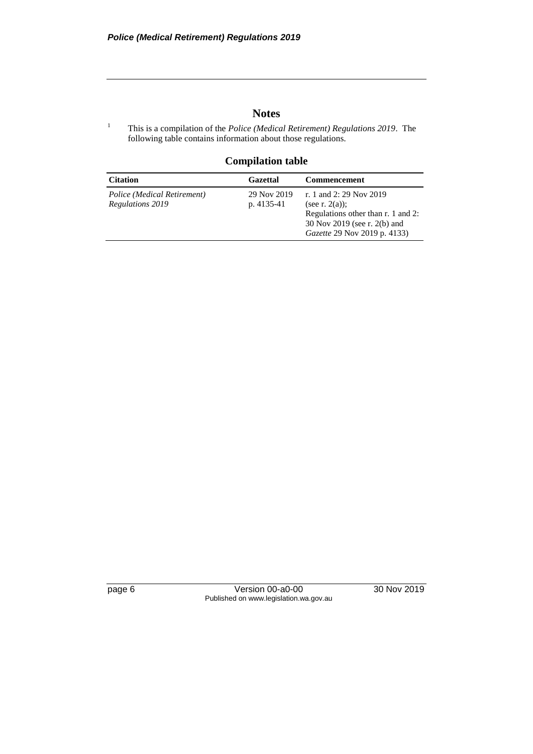#### **Notes**

<sup>1</sup> This is a compilation of the *Police (Medical Retirement) Regulations 2019*. The following table contains information about those regulations.

#### **Compilation table**

| <b>Citation</b>                                 | <b>Gazettal</b>           | <b>Commencement</b>                                                                                                                                       |
|-------------------------------------------------|---------------------------|-----------------------------------------------------------------------------------------------------------------------------------------------------------|
| Police (Medical Retirement)<br>Regulations 2019 | 29 Nov 2019<br>p. 4135-41 | r. 1 and 2: 29 Nov 2019<br>(see r. $2(a)$ );<br>Regulations other than r. 1 and 2:<br>30 Nov 2019 (see r. 2(b) and<br><i>Gazette</i> 29 Nov 2019 p. 4133) |

page 6 Version 00-a0-00 30 Nov 2019 Published on www.legislation.wa.gov.au